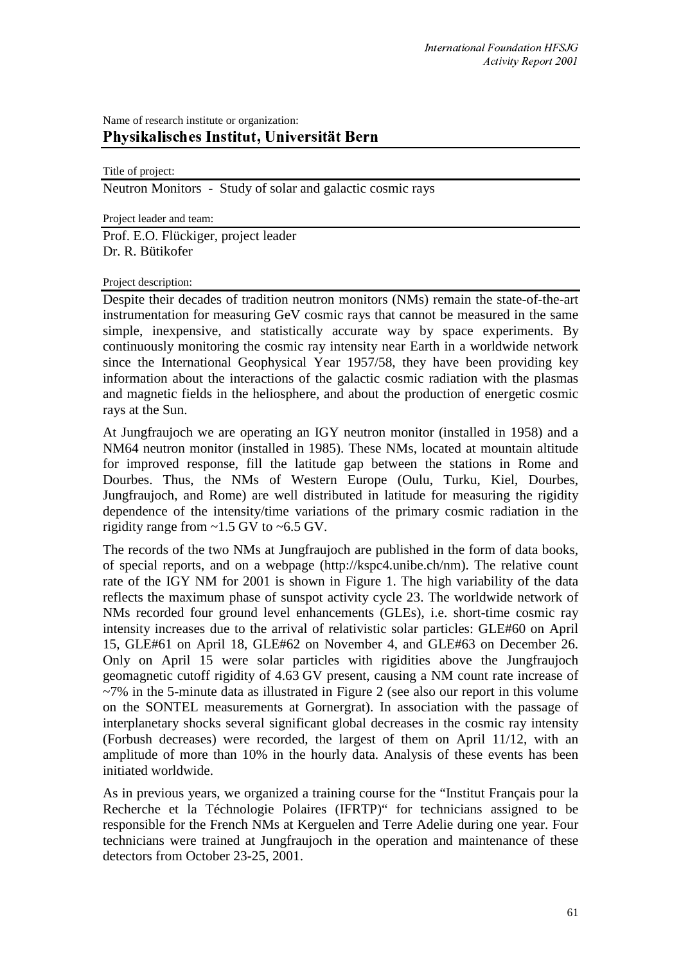## Name of research institute or organization: Physikalisches Institut, Universität Bern

Title of project:

Neutron Monitors - Study of solar and galactic cosmic rays

Project leader and team:

Prof. E.O. Flückiger, project leader Dr. R. Bütikofer

## Project description:

Despite their decades of tradition neutron monitors (NMs) remain the state-of-the-art instrumentation for measuring GeV cosmic rays that cannot be measured in the same simple, inexpensive, and statistically accurate way by space experiments. By continuously monitoring the cosmic ray intensity near Earth in a worldwide network since the International Geophysical Year 1957/58, they have been providing key information about the interactions of the galactic cosmic radiation with the plasmas and magnetic fields in the heliosphere, and about the production of energetic cosmic rays at the Sun.

At Jungfraujoch we are operating an IGY neutron monitor (installed in 1958) and a NM64 neutron monitor (installed in 1985). These NMs, located at mountain altitude for improved response, fill the latitude gap between the stations in Rome and Dourbes. Thus, the NMs of Western Europe (Oulu, Turku, Kiel, Dourbes, Jungfraujoch, and Rome) are well distributed in latitude for measuring the rigidity dependence of the intensity/time variations of the primary cosmic radiation in the rigidity range from ~1.5 GV to ~6.5 GV.

The records of the two NMs at Jungfraujoch are published in the form of data books, of special reports, and on a webpage (http://kspc4.unibe.ch/nm). The relative count rate of the IGY NM for 2001 is shown in Figure 1. The high variability of the data reflects the maximum phase of sunspot activity cycle 23. The worldwide network of NMs recorded four ground level enhancements (GLEs), i.e. short-time cosmic ray intensity increases due to the arrival of relativistic solar particles: GLE#60 on April 15, GLE#61 on April 18, GLE#62 on November 4, and GLE#63 on December 26. Only on April 15 were solar particles with rigidities above the Jungfraujoch geomagnetic cutoff rigidity of 4.63 GV present, causing a NM count rate increase of ~7% in the 5-minute data as illustrated in Figure 2 (see also our report in this volume on the SONTEL measurements at Gornergrat). In association with the passage of interplanetary shocks several significant global decreases in the cosmic ray intensity (Forbush decreases) were recorded, the largest of them on April 11/12, with an amplitude of more than 10% in the hourly data. Analysis of these events has been initiated worldwide.

As in previous years, we organized a training course for the "Institut Français pour la Recherche et la Téchnologie Polaires (IFRTP)" for technicians assigned to be responsible for the French NMs at Kerguelen and Terre Adelie during one year. Four technicians were trained at Jungfraujoch in the operation and maintenance of these detectors from October 23-25, 2001.